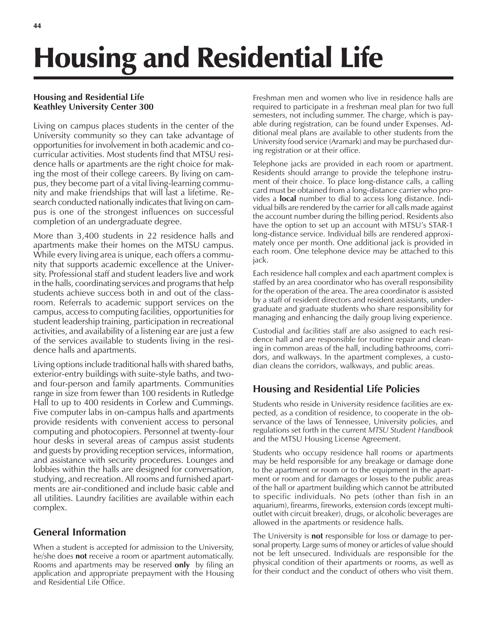# Housing and Residential Life

#### **Housing and Residential Life Keathley University Center 300**

Living on campus places students in the center of the University community so they can take advantage of opportunities for involvement in both academic and cocurricular activities. Most students find that MTSU residence halls or apartments are the right choice for making the most of their college careers. By living on campus, they become part of a vital living-learning community and make friendships that will last a lifetime. Research conducted nationally indicates that living on campus is one of the strongest influences on successful completion of an undergraduate degree.

More than 3,400 students in 22 residence halls and apartments make their homes on the MTSU campus. While every living area is unique, each offers a community that supports academic excellence at the University. Professional staff and student leaders live and work in the halls, coordinating services and programs that help students achieve success both in and out of the classroom. Referrals to academic support services on the campus, access to computing facilities, opportunities for student leadership training, participation in recreational activities, and availability of a listening ear are just a few of the services available to students living in the residence halls and apartments.

Living options include traditional halls with shared baths, exterior-entry buildings with suite-style baths, and twoand four-person and family apartments. Communities range in size from fewer than 100 residents in Rutledge Hall to up to 400 residents in Corlew and Cummings. Five computer labs in on-campus halls and apartments provide residents with convenient access to personal computing and photocopiers. Personnel at twenty-four hour desks in several areas of campus assist students and guests by providing reception services, information, and assistance with security procedures. Lounges and lobbies within the halls are designed for conversation, studying, and recreation. All rooms and furnished apartments are air-conditioned and include basic cable and all utilities. Laundry facilities are available within each complex.

# **General Information**

When a student is accepted for admission to the University, he/she does **not** receive a room or apartment automatically. Rooms and apartments may be reserved **only** by filing an application and appropriate prepayment with the Housing and Residential Life Office.

Freshman men and women who live in residence halls are required to participate in a freshman meal plan for two full semesters, not including summer. The charge, which is payable during registration, can be found under Expenses. Additional meal plans are available to other students from the University food service (Aramark) and may be purchased during registration or at their office.

Telephone jacks are provided in each room or apartment. Residents should arrange to provide the telephone instrument of their choice. To place long-distance calls, a calling card must be obtained from a long-distance carrier who provides a **local** number to dial to access long distance. Individual bills are rendered by the carrier for all calls made against the account number during the billing period. Residents also have the option to set up an account with MTSU's STAR-1 long-distance service. Individual bills are rendered approximately once per month. One additional jack is provided in each room. One telephone device may be attached to this jack.

Each residence hall complex and each apartment complex is staffed by an area coordinator who has overall responsibility for the operation of the area. The area coordinator is assisted by a staff of resident directors and resident assistants, undergraduate and graduate students who share responsibility for managing and enhancing the daily group living experience.

Custodial and facilities staff are also assigned to each residence hall and are responsible for routine repair and cleaning in common areas of the hall, including bathrooms, corridors, and walkways. In the apartment complexes, a custodian cleans the corridors, walkways, and public areas.

# **Housing and Residential Life Policies**

Students who reside in University residence facilities are expected, as a condition of residence, to cooperate in the observance of the laws of Tennessee, University policies, and regulations set forth in the current *MTSU Student Handbook* and the MTSU Housing License Agreement.

Students who occupy residence hall rooms or apartments may be held responsible for any breakage or damage done to the apartment or room or to the equipment in the apartment or room and for damages or losses to the public areas of the hall or apartment building which cannot be attributed to specific individuals. No pets (other than fish in an aquarium), firearms, fireworks, extension cords (except multioutlet with circuit breaker), drugs, or alcoholic beverages are allowed in the apartments or residence halls.

The University is **not** responsible for loss or damage to personal property. Large sums of money or articles of value should not be left unsecured. Individuals are responsible for the physical condition of their apartments or rooms, as well as for their conduct and the conduct of others who visit them.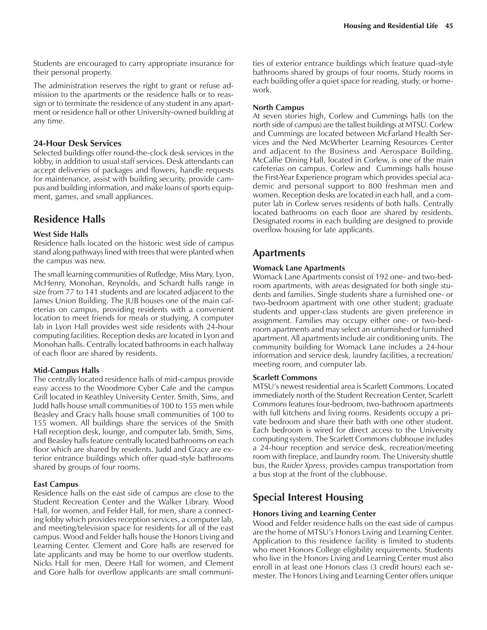Students are encouraged to carry appropriate insurance for their personal property.

The administration reserves the right to grant or refuse admission to the apartments or the residence halls or to reassign or to terminate the residence of any student in any apartment or residence hall or other University-owned building at any time.

#### **24-Hour Desk Services**

Selected buildings offer round-the-clock desk services in the lobby, in addition to usual staff services. Desk attendants can accept deliveries of packages and flowers, handle requests for maintenance, assist with building security, provide campus and building information, and make loans of sports equipment, games, and small appliances.

# **Residence Halls**

#### **West Side Halls**

Residence halls located on the historic west side of campus stand along pathways lined with trees that were planted when the campus was new.

The small learning communities of Rutledge, Miss Mary, Lyon, McHenry, Monohan, Reynolds, and Schardt halls range in size from 77 to 141 students and are located adjacent to the James Union Building. The JUB houses one of the main cafeterias on campus, providing residents with a convenient location to meet friends for meals or studying. A computer lab in Lyon Hall provides west side residents with 24-hour computing facilities. Reception desks are located in Lyon and Monohan halls. Centrally located bathrooms in each hallway of each floor are shared by residents.

#### **Mid-Campus Halls**

The centrally located residence halls of mid-campus provide easy access to the Woodmore Cyber Cafe and the campus Grill located in Keathley University Center. Smith, Sims, and Judd halls house small communities of 100 to 155 men while Beasley and Gracy halls house small communities of 100 to 155 women. All buildings share the services of the Smith Hall reception desk, lounge, and computer lab. Smith, Sims, and Beasley halls feature centrally located bathrooms on each floor which are shared by residents. Judd and Gracy are exterior entrance buildings which offer quad-style bathrooms shared by groups of four rooms.

#### **East Campus**

Residence halls on the east side of campus are close to the Student Recreation Center and the Walker Library. Wood Hall, for women, and Felder Hall, for men, share a connecting lobby which provides reception services, a computer lab, and meeting/television space for residents for all of the east campus. Wood and Felder halls house the Honors Living and Learning Center. Clement and Gore halls are reserved for late applicants and may be home to our overflow students. Nicks Hall for men, Deere Hall for women, and Clement and Gore halls for overflow applicants are small communities of exterior entrance buildings which feature quad-style bathrooms shared by groups of four rooms. Study rooms in each building offer a quiet space for reading, study, or homework.

#### **North Campus**

At seven stories high, Corlew and Cummings halls (on the north side of campus) are the tallest buildings at MTSU. Corlew and Cummings are located between McFarland Health Services and the Ned McWherter Learning Resources Center and adjacent to the Business and Aerospace Building. McCallie Dining Hall, located in Corlew, is one of the main cafeterias on campus. Corlew and Cummings halls house the First-Year Experience program which provides special academic and personal support to 800 freshman men and women. Reception desks are located in each hall, and a computer lab in Corlew serves residents of both halls. Centrally located bathrooms on each floor are shared by residents. Designated rooms in each building are designed to provide overflow housing for late applicants.

# **Apartments**

#### **Womack Lane Apartments**

Womack Lane Apartments consist of 192 one- and two-bedroom apartments, with areas designated for both single students and families. Single students share a furnished one- or two-bedroom apartment with one other student; graduate students and upper-class students are given preference in assignment. Families may occupy either one- or two-bedroom apartments and may select an unfurnished or furnished apartment. All apartments include air conditioning units. The community building for Womack Lane includes a 24-hour information and service desk, laundry facilities, a recreation/ meeting room, and computer lab.

#### **Scarlett Commons**

MTSUís newest residential area is Scarlett Commons. Located immediately north of the Student Recreation Center, Scarlett Commons features four-bedroom, two-bathroom apartments with full kitchens and living rooms. Residents occupy a private bedroom and share their bath with one other student. Each bedroom is wired for direct access to the University computing system. The Scarlett Commons clubhouse includes a 24-hour reception and service desk, recreation/meeting room with fireplace, and laundry room. The University shuttle bus, the *Raider Xpress*, provides campus transportation from a bus stop at the front of the clubhouse.

# **Special Interest Housing**

#### **Honors Living and Learning Center**

Wood and Felder residence halls on the east side of campus are the home of MTSU's Honors Living and Learning Center. Application to this residence facility is limited to students who meet Honors College eligibility requirements. Students who live in the Honors Living and Learning Center must also enroll in at least one Honors class (3 credit hours) each semester. The Honors Living and Learning Center offers unique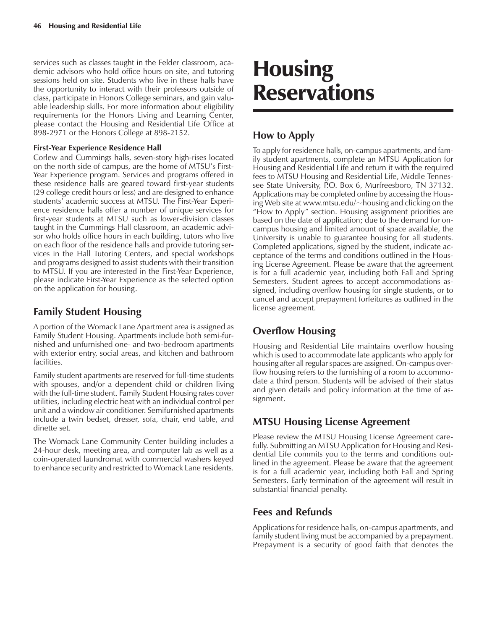services such as classes taught in the Felder classroom, academic advisors who hold office hours on site, and tutoring sessions held on site. Students who live in these halls have the opportunity to interact with their professors outside of class, participate in Honors College seminars, and gain valuable leadership skills. For more information about eligibility requirements for the Honors Living and Learning Center, please contact the Housing and Residential Life Office at 898-2971 or the Honors College at 898-2152.

#### **First-Year Experience Residence Hall**

Corlew and Cummings halls, seven-story high-rises located on the north side of campus, are the home of MTSU's First-Year Experience program. Services and programs offered in these residence halls are geared toward first-year students (29 college credit hours or less) and are designed to enhance students' academic success at MTSU. The First-Year Experience residence halls offer a number of unique services for first-year students at MTSU such as lower-division classes taught in the Cummings Hall classroom, an academic advisor who holds office hours in each building, tutors who live on each floor of the residence halls and provide tutoring services in the Hall Tutoring Centers, and special workshops and programs designed to assist students with their transition to MTSU. If you are interested in the First-Year Experience, please indicate First-Year Experience as the selected option on the application for housing.

# **Family Student Housing**

A portion of the Womack Lane Apartment area is assigned as Family Student Housing. Apartments include both semi-furnished and unfurnished one- and two-bedroom apartments with exterior entry, social areas, and kitchen and bathroom facilities.

Family student apartments are reserved for full-time students with spouses, and/or a dependent child or children living with the full-time student. Family Student Housing rates cover utilities, including electric heat with an individual control per unit and a window air conditioner. Semifurnished apartments include a twin bedset, dresser, sofa, chair, end table, and dinette set.

The Womack Lane Community Center building includes a 24-hour desk, meeting area, and computer lab as well as a coin-operated laundromat with commercial washers keyed to enhance security and restricted to Womack Lane residents.

# Housing Reservations

# **How to Apply**

To apply for residence halls, on-campus apartments, and family student apartments, complete an MTSU Application for Housing and Residential Life and return it with the required fees to MTSU Housing and Residential Life, Middle Tennessee State University, P.O. Box 6, Murfreesboro, TN 37132. Applications may be completed online by accessing the Housing Web site at www.mtsu.edu/~housing and clicking on the ìHow to Applyî section. Housing assignment priorities are based on the date of application; due to the demand for oncampus housing and limited amount of space available, the University is unable to guarantee housing for all students. Completed applications, signed by the student, indicate acceptance of the terms and conditions outlined in the Housing License Agreement. Please be aware that the agreement is for a full academic year, including both Fall and Spring Semesters. Student agrees to accept accommodations assigned, including overflow housing for single students, or to cancel and accept prepayment forfeitures as outlined in the license agreement.

# **Overflow Housing**

Housing and Residential Life maintains overflow housing which is used to accommodate late applicants who apply for housing after all regular spaces are assigned. On-campus overflow housing refers to the furnishing of a room to accommodate a third person. Students will be advised of their status and given details and policy information at the time of assignment.

# **MTSU Housing License Agreement**

Please review the MTSU Housing License Agreement carefully. Submitting an MTSU Application for Housing and Residential Life commits you to the terms and conditions outlined in the agreement. Please be aware that the agreement is for a full academic year, including both Fall and Spring Semesters. Early termination of the agreement will result in substantial financial penalty.

## **Fees and Refunds**

Applications for residence halls, on-campus apartments, and family student living must be accompanied by a prepayment. Prepayment is a security of good faith that denotes the